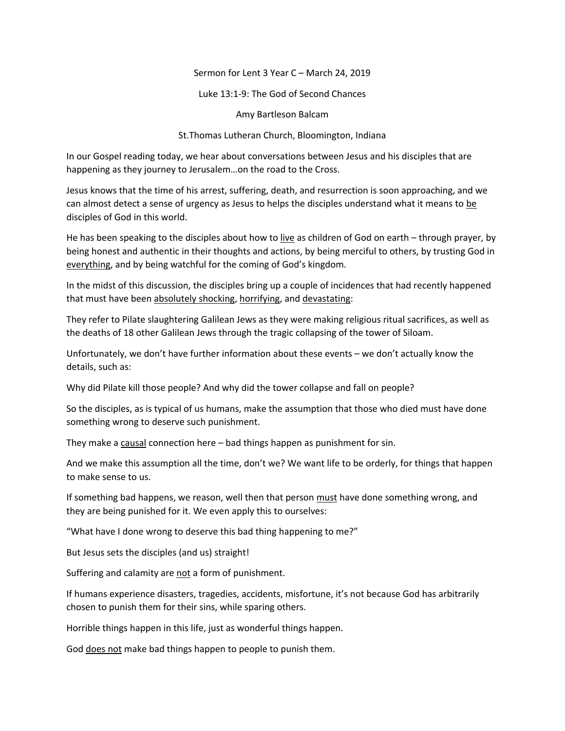Sermon for Lent 3 Year C – March 24, 2019

Luke 13:1-9: The God of Second Chances

Amy Bartleson Balcam

St.Thomas Lutheran Church, Bloomington, Indiana

In our Gospel reading today, we hear about conversations between Jesus and his disciples that are happening as they journey to Jerusalem…on the road to the Cross.

Jesus knows that the time of his arrest, suffering, death, and resurrection is soon approaching, and we can almost detect a sense of urgency as Jesus to helps the disciples understand what it means to be disciples of God in this world.

He has been speaking to the disciples about how to live as children of God on earth – through prayer, by being honest and authentic in their thoughts and actions, by being merciful to others, by trusting God in everything, and by being watchful for the coming of God's kingdom.

In the midst of this discussion, the disciples bring up a couple of incidences that had recently happened that must have been absolutely shocking, horrifying, and devastating:

They refer to Pilate slaughtering Galilean Jews as they were making religious ritual sacrifices, as well as the deaths of 18 other Galilean Jews through the tragic collapsing of the tower of Siloam.

Unfortunately, we don't have further information about these events – we don't actually know the details, such as:

Why did Pilate kill those people? And why did the tower collapse and fall on people?

So the disciples, as is typical of us humans, make the assumption that those who died must have done something wrong to deserve such punishment.

They make a causal connection here – bad things happen as punishment for sin.

And we make this assumption all the time, don't we? We want life to be orderly, for things that happen to make sense to us.

If something bad happens, we reason, well then that person must have done something wrong, and they are being punished for it. We even apply this to ourselves:

"What have I done wrong to deserve this bad thing happening to me?"

But Jesus sets the disciples (and us) straight!

Suffering and calamity are not a form of punishment.

If humans experience disasters, tragedies, accidents, misfortune, it's not because God has arbitrarily chosen to punish them for their sins, while sparing others.

Horrible things happen in this life, just as wonderful things happen.

God does not make bad things happen to people to punish them.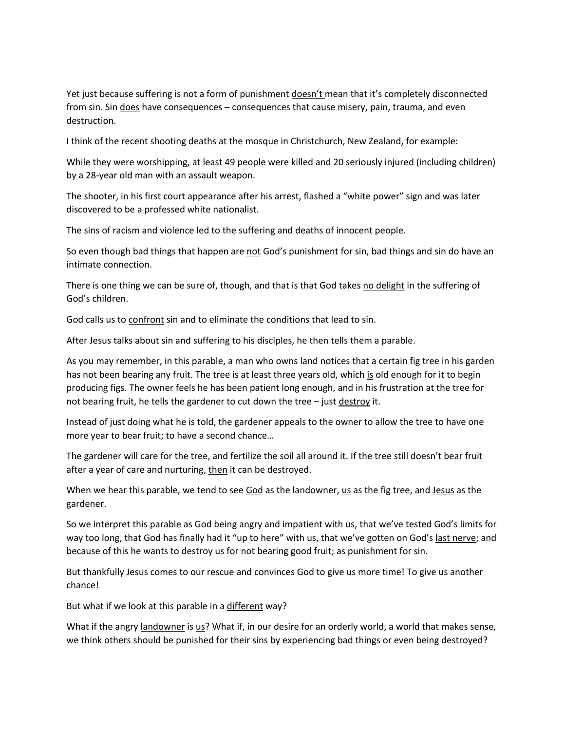Yet just because suffering is not a form of punishment doesn't mean that it's completely disconnected from sin. Sin does have consequences – consequences that cause misery, pain, trauma, and even destruction.

I think of the recent shooting deaths at the mosque in Christchurch, New Zealand, for example:

While they were worshipping, at least 49 people were killed and 20 seriously injured (including children) by a 28-year old man with an assault weapon.

The shooter, in his first court appearance after his arrest, flashed a "white power" sign and was later discovered to be a professed white nationalist.

The sins of racism and violence led to the suffering and deaths of innocent people.

So even though bad things that happen are not God's punishment for sin, bad things and sin do have an intimate connection.

There is one thing we can be sure of, though, and that is that God takes no delight in the suffering of God's children.

God calls us to confront sin and to eliminate the conditions that lead to sin.

After Jesus talks about sin and suffering to his disciples, he then tells them a parable.

As you may remember, in this parable, a man who owns land notices that a certain fig tree in his garden has not been bearing any fruit. The tree is at least three years old, which is old enough for it to begin producing figs. The owner feels he has been patient long enough, and in his frustration at the tree for not bearing fruit, he tells the gardener to cut down the tree – just destroy it.

Instead of just doing what he is told, the gardener appeals to the owner to allow the tree to have one more year to bear fruit; to have a second chance…

The gardener will care for the tree, and fertilize the soil all around it. If the tree still doesn't bear fruit after a year of care and nurturing, then it can be destroyed.

When we hear this parable, we tend to see  $\frac{God}{ }$  as the landowner,  $\frac{us}{us}$  as the fig tree, and  $\frac{Jesus}{ }$  as the gardener.

So we interpret this parable as God being angry and impatient with us, that we've tested God's limits for way too long, that God has finally had it "up to here" with us, that we've gotten on God's last nerve; and because of this he wants to destroy us for not bearing good fruit; as punishment for sin.

But thankfully Jesus comes to our rescue and convinces God to give us more time! To give us another chance!

But what if we look at this parable in a different way?

What if the angry landowner is us? What if, in our desire for an orderly world, a world that makes sense, we think others should be punished for their sins by experiencing bad things or even being destroyed?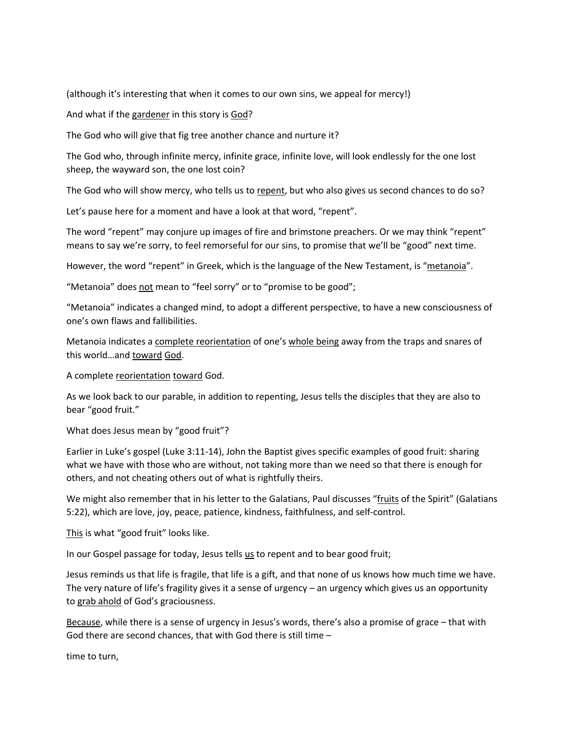(although it's interesting that when it comes to our own sins, we appeal for mercy!)

And what if the gardener in this story is God?

The God who will give that fig tree another chance and nurture it?

The God who, through infinite mercy, infinite grace, infinite love, will look endlessly for the one lost sheep, the wayward son, the one lost coin?

The God who will show mercy, who tells us to repent, but who also gives us second chances to do so?

Let's pause here for a moment and have a look at that word, "repent".

The word "repent" may conjure up images of fire and brimstone preachers. Or we may think "repent" means to say we're sorry, to feel remorseful for our sins, to promise that we'll be "good" next time.

However, the word "repent" in Greek, which is the language of the New Testament, is "metanoia".

"Metanoia" does not mean to "feel sorry" or to "promise to be good";

"Metanoia" indicates a changed mind, to adopt a different perspective, to have a new consciousness of one's own flaws and fallibilities.

Metanoia indicates a complete reorientation of one's whole being away from the traps and snares of this world…and toward God.

A complete reorientation toward God.

As we look back to our parable, in addition to repenting, Jesus tells the disciples that they are also to bear "good fruit."

What does Jesus mean by "good fruit"?

Earlier in Luke's gospel (Luke 3:11-14), John the Baptist gives specific examples of good fruit: sharing what we have with those who are without, not taking more than we need so that there is enough for others, and not cheating others out of what is rightfully theirs.

We might also remember that in his letter to the Galatians, Paul discusses "fruits of the Spirit" (Galatians 5:22), which are love, joy, peace, patience, kindness, faithfulness, and self-control.

This is what "good fruit" looks like.

In our Gospel passage for today, Jesus tells us to repent and to bear good fruit;

Jesus reminds us that life is fragile, that life is a gift, and that none of us knows how much time we have. The very nature of life's fragility gives it a sense of urgency – an urgency which gives us an opportunity to grab ahold of God's graciousness.

Because, while there is a sense of urgency in Jesus's words, there's also a promise of grace – that with God there are second chances, that with God there is still time –

time to turn,